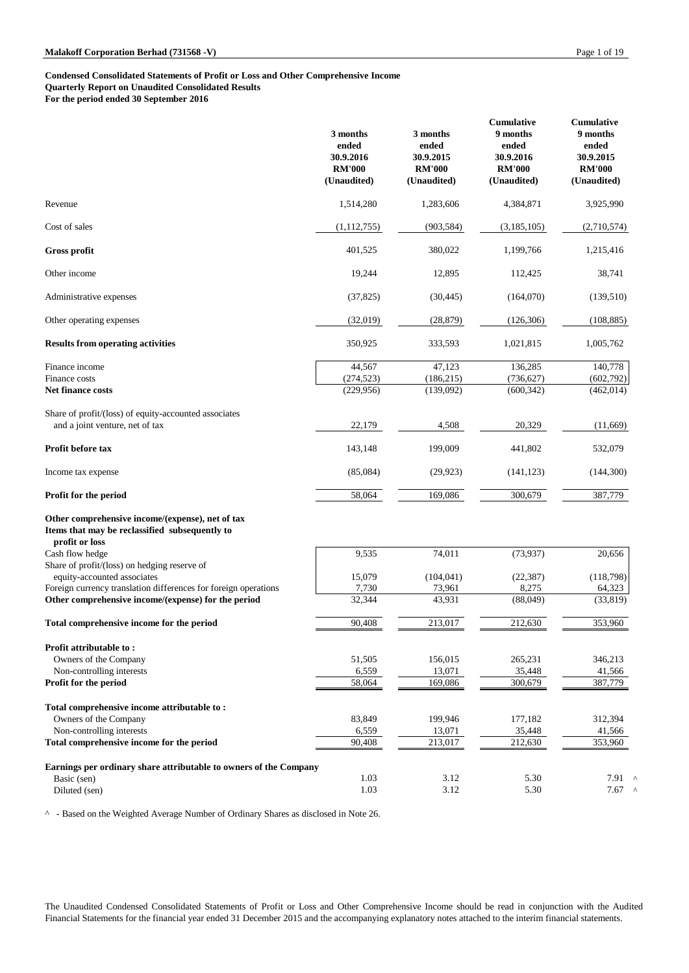**Quarterly Report on Unaudited Consolidated Results**

**For the period ended 30 September 2016**

|                                                                                                                        | 3 months<br>ended<br>30.9.2016<br><b>RM'000</b><br>(Unaudited) | 3 months<br>ended<br>30.9.2015<br><b>RM'000</b><br>(Unaudited) | Cumulative<br>9 months<br>ended<br>30.9.2016<br><b>RM'000</b><br>(Unaudited) | Cumulative<br>9 months<br>ended<br>30.9.2015<br><b>RM'000</b><br>(Unaudited) |
|------------------------------------------------------------------------------------------------------------------------|----------------------------------------------------------------|----------------------------------------------------------------|------------------------------------------------------------------------------|------------------------------------------------------------------------------|
| Revenue                                                                                                                | 1,514,280                                                      | 1,283,606                                                      | 4,384,871                                                                    | 3,925,990                                                                    |
| Cost of sales                                                                                                          | (1,112,755)                                                    | (903, 584)                                                     | (3,185,105)                                                                  | (2,710,574)                                                                  |
| <b>Gross profit</b>                                                                                                    | 401,525                                                        | 380,022                                                        | 1,199,766                                                                    | 1,215,416                                                                    |
| Other income                                                                                                           | 19,244                                                         | 12,895                                                         | 112,425                                                                      | 38,741                                                                       |
| Administrative expenses                                                                                                | (37, 825)                                                      | (30, 445)                                                      | (164,070)                                                                    | (139,510)                                                                    |
| Other operating expenses                                                                                               | (32,019)                                                       | (28, 879)                                                      | (126, 306)                                                                   | (108, 885)                                                                   |
| <b>Results from operating activities</b>                                                                               | 350,925                                                        | 333,593                                                        | 1,021,815                                                                    | 1,005,762                                                                    |
| Finance income                                                                                                         | 44,567                                                         | 47.123                                                         | 136,285                                                                      | 140,778                                                                      |
| Finance costs<br>Net finance costs                                                                                     | (274, 523)<br>(229, 956)                                       | (186, 215)<br>(139,092)                                        | (736, 627)<br>(600, 342)                                                     | (602,792)<br>(462, 014)                                                      |
|                                                                                                                        |                                                                |                                                                |                                                                              |                                                                              |
| Share of profit/(loss) of equity-accounted associates<br>and a joint venture, net of tax                               | 22,179                                                         | 4,508                                                          | 20,329                                                                       | (11,669)                                                                     |
|                                                                                                                        |                                                                |                                                                |                                                                              |                                                                              |
| Profit before tax                                                                                                      | 143,148                                                        | 199,009                                                        | 441,802                                                                      | 532,079                                                                      |
| Income tax expense                                                                                                     | (85,084)                                                       | (29, 923)                                                      | (141, 123)                                                                   | (144,300)                                                                    |
| Profit for the period                                                                                                  | 58,064                                                         | 169,086                                                        | 300,679                                                                      | 387,779                                                                      |
| Other comprehensive income/(expense), net of tax<br>Items that may be reclassified subsequently to<br>profit or loss   |                                                                |                                                                |                                                                              |                                                                              |
| Cash flow hedge                                                                                                        | 9,535                                                          | 74,011                                                         | (73, 937)                                                                    | 20,656                                                                       |
| Share of profit/(loss) on hedging reserve of                                                                           |                                                                |                                                                |                                                                              |                                                                              |
| equity-accounted associates                                                                                            | 15,079<br>7,730                                                | (104, 041)                                                     | (22, 387)<br>8,275                                                           | (118,798)                                                                    |
| Foreign currency translation differences for foreign operations<br>Other comprehensive income/(expense) for the period | 32,344                                                         | 73,961<br>43,931                                               | (88,049)                                                                     | 64,323<br>(33,819)                                                           |
| Total comprehensive income for the period                                                                              | 90,408                                                         | 213,017                                                        | 212,630                                                                      | 353,960                                                                      |
|                                                                                                                        |                                                                |                                                                |                                                                              |                                                                              |
| Profit attributable to:<br>Owners of the Company                                                                       | 51,505                                                         | 156,015                                                        | 265,231                                                                      | 346,213                                                                      |
| Non-controlling interests                                                                                              | 6,559                                                          | 13,071                                                         | 35,448                                                                       | 41,566                                                                       |
| Profit for the period                                                                                                  | 58,064                                                         | 169,086                                                        | 300,679                                                                      | 387,779                                                                      |
|                                                                                                                        |                                                                |                                                                |                                                                              |                                                                              |
| Total comprehensive income attributable to:                                                                            | 83,849                                                         |                                                                |                                                                              |                                                                              |
| Owners of the Company<br>Non-controlling interests                                                                     | 6,559                                                          | 199,946<br>13,071                                              | 177,182<br>35,448                                                            | 312,394<br>41,566                                                            |
| Total comprehensive income for the period                                                                              | 90,408                                                         | 213,017                                                        | 212,630                                                                      | 353,960                                                                      |
|                                                                                                                        |                                                                |                                                                |                                                                              |                                                                              |
| Earnings per ordinary share attributable to owners of the Company                                                      |                                                                |                                                                |                                                                              |                                                                              |
| Basic (sen)                                                                                                            | 1.03                                                           | 3.12                                                           | 5.30                                                                         | 7.91<br>$\prime$                                                             |
| Diluted (sen)                                                                                                          | 1.03                                                           | 3.12                                                           | 5.30                                                                         | 7.67                                                                         |

^ - Based on the Weighted Average Number of Ordinary Shares as disclosed in Note 26.

The Unaudited Condensed Consolidated Statements of Profit or Loss and Other Comprehensive Income should be read in conjunction with the Audited Financial Statements for the financial year ended 31 December 2015 and the accompanying explanatory notes attached to the interim financial statements.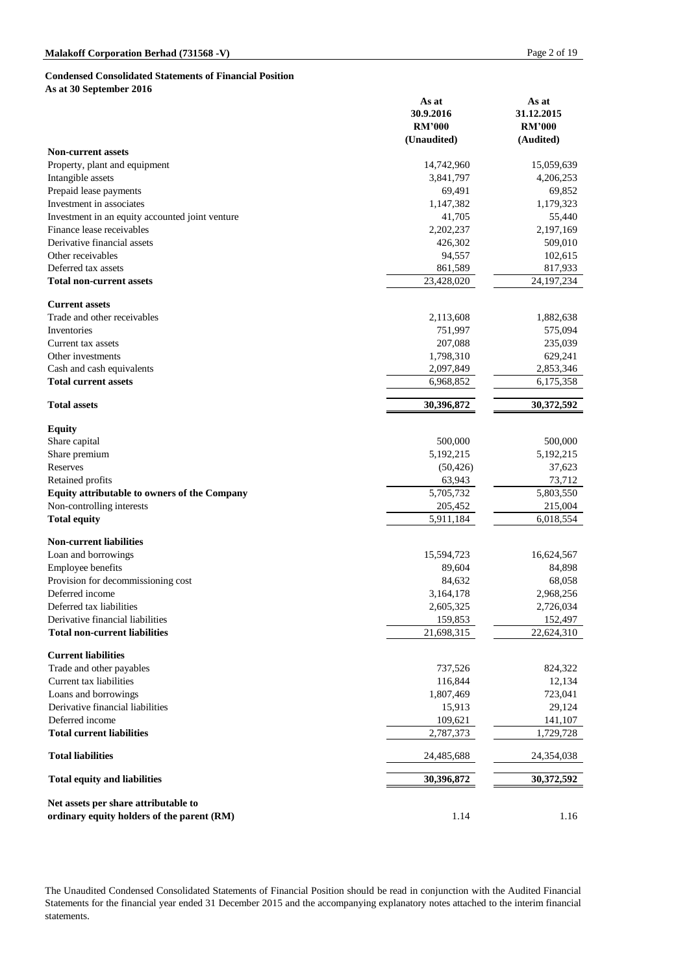#### **Condensed Consolidated Statements of Financial Position**

**As at 30 September 2016**

|                                                                                    | As at<br>30.9.2016<br><b>RM'000</b><br>(Unaudited) | As at<br>31.12.2015<br><b>RM'000</b><br>(Audited) |
|------------------------------------------------------------------------------------|----------------------------------------------------|---------------------------------------------------|
| <b>Non-current assets</b>                                                          |                                                    |                                                   |
| Property, plant and equipment                                                      | 14,742,960                                         | 15,059,639                                        |
| Intangible assets                                                                  | 3,841,797                                          | 4,206,253                                         |
| Prepaid lease payments                                                             | 69,491                                             | 69,852                                            |
| Investment in associates                                                           | 1,147,382                                          | 1,179,323                                         |
| Investment in an equity accounted joint venture                                    | 41,705                                             | 55,440                                            |
| Finance lease receivables                                                          | 2,202,237                                          | 2,197,169                                         |
| Derivative financial assets                                                        | 426,302                                            | 509,010                                           |
| Other receivables                                                                  | 94,557                                             | 102,615                                           |
| Deferred tax assets                                                                | 861,589                                            | 817,933                                           |
| <b>Total non-current assets</b>                                                    | 23,428,020                                         | 24, 197, 234                                      |
| <b>Current assets</b>                                                              |                                                    |                                                   |
| Trade and other receivables                                                        | 2,113,608                                          | 1,882,638                                         |
| Inventories                                                                        | 751,997                                            | 575,094                                           |
| Current tax assets                                                                 | 207,088                                            | 235,039                                           |
| Other investments                                                                  | 1,798,310                                          | 629,241                                           |
| Cash and cash equivalents                                                          | 2,097,849                                          | 2,853,346                                         |
| <b>Total current assets</b>                                                        | 6,968,852                                          | 6,175,358                                         |
| <b>Total assets</b>                                                                | 30,396,872                                         | 30,372,592                                        |
| <b>Equity</b>                                                                      |                                                    |                                                   |
| Share capital                                                                      | 500,000                                            | 500,000                                           |
| Share premium                                                                      | 5,192,215                                          | 5, 192, 215                                       |
| Reserves                                                                           | (50, 426)                                          | 37,623                                            |
| Retained profits                                                                   | 63,943                                             | 73,712                                            |
| Equity attributable to owners of the Company                                       | 5,705,732                                          | 5,803,550                                         |
| Non-controlling interests                                                          | 205,452                                            | 215,004                                           |
| <b>Total equity</b>                                                                | 5,911,184                                          | 6,018,554                                         |
| <b>Non-current liabilities</b>                                                     |                                                    |                                                   |
| Loan and borrowings                                                                | 15,594,723                                         | 16,624,567                                        |
| Employee benefits                                                                  | 89,604                                             | 84,898                                            |
| Provision for decommissioning cost                                                 | 84,632                                             | 68,058                                            |
| Deferred income                                                                    | 3,164,178                                          | 2,968,256                                         |
| Deferred tax liabilities                                                           | 2,605,325                                          | 2,726,034                                         |
| Derivative financial liabilities                                                   | 159,853                                            | 152,497                                           |
| <b>Total non-current liabilities</b>                                               | 21,698,315                                         | 22,624,310                                        |
| <b>Current liabilities</b>                                                         |                                                    |                                                   |
| Trade and other payables                                                           | 737,526                                            | 824,322                                           |
| Current tax liabilities                                                            | 116,844                                            | 12,134                                            |
| Loans and borrowings                                                               | 1,807,469                                          | 723,041                                           |
| Derivative financial liabilities                                                   | 15,913                                             | 29,124                                            |
| Deferred income                                                                    | 109,621                                            | 141,107                                           |
| <b>Total current liabilities</b>                                                   | 2,787,373                                          | 1,729,728                                         |
| <b>Total liabilities</b>                                                           | 24,485,688                                         | 24,354,038                                        |
| <b>Total equity and liabilities</b>                                                | 30,396,872                                         | 30,372,592                                        |
| Net assets per share attributable to<br>ordinary equity holders of the parent (RM) | 1.14                                               | 1.16                                              |

The Unaudited Condensed Consolidated Statements of Financial Position should be read in conjunction with the Audited Financial Statements for the financial year ended 31 December 2015 and the accompanying explanatory notes attached to the interim financial statements.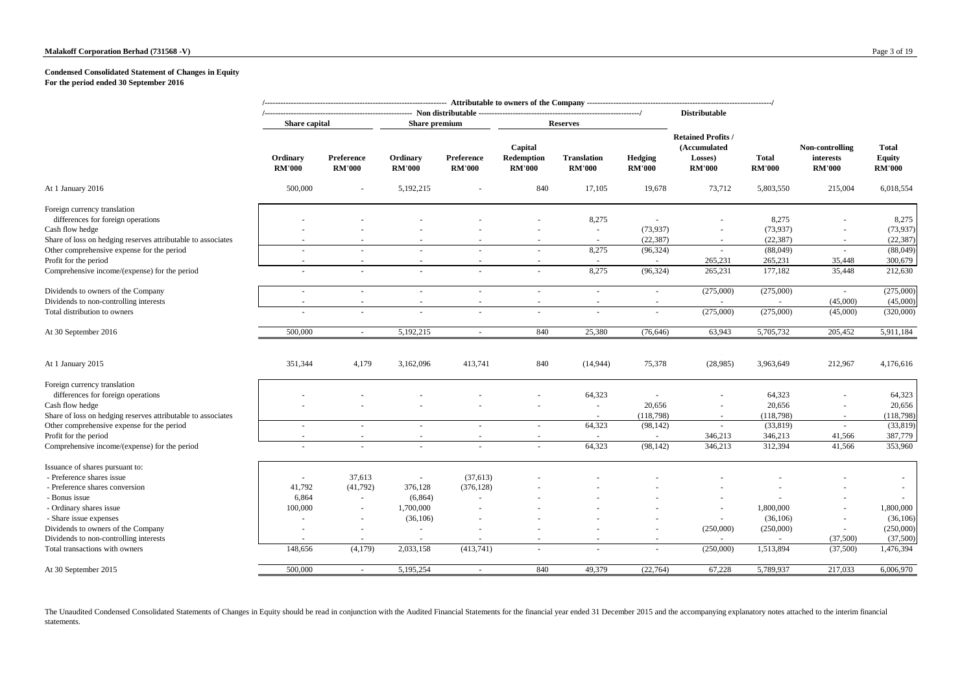#### **Malakoff Corporation Berhad (731568 -V)** Page 3 of 19

#### **Condensed Consolidated Statement of Changes in Equity For the period ended 30 September 2016**

|                                                                                                            | Share capital                      |                             | Share premium             |                             |                                        | <b>Reserves</b>                     |                          | <b>Distributable</b>                                                  |                               |                                               |                                         |
|------------------------------------------------------------------------------------------------------------|------------------------------------|-----------------------------|---------------------------|-----------------------------|----------------------------------------|-------------------------------------|--------------------------|-----------------------------------------------------------------------|-------------------------------|-----------------------------------------------|-----------------------------------------|
|                                                                                                            | Ordinary<br><b>RM'000</b>          | Preference<br><b>RM'000</b> | Ordinary<br><b>RM'000</b> | Preference<br><b>RM'000</b> | Capital<br>Redemption<br><b>RM'000</b> | <b>Translation</b><br><b>RM'000</b> | Hedging<br><b>RM'000</b> | <b>Retained Profits /</b><br>(Accumulated<br>Losses)<br><b>RM'000</b> | <b>Total</b><br><b>RM'000</b> | Non-controlling<br>interests<br><b>RM'000</b> | <b>Total</b><br>Equity<br><b>RM'000</b> |
| At 1 January 2016                                                                                          | 500,000                            |                             | 5,192,215                 |                             | 840                                    | 17,105                              | 19,678                   | 73,712                                                                | 5,803,550                     | 215,004                                       | 6,018,554                               |
| Foreign currency translation<br>differences for foreign operations<br>Cash flow hedge                      |                                    |                             |                           |                             |                                        | 8,275<br>÷.                         | (73,937)                 |                                                                       | 8,275<br>(73, 937)            |                                               | 8,275<br>(73, 937)                      |
| Share of loss on hedging reserves attributable to associates<br>Other comprehensive expense for the period | ä,                                 |                             |                           |                             | ÷.                                     | 8,275                               | (22, 387)<br>(96, 324)   | $\sim$                                                                | (22, 387)<br>(88,049)         | $\sim$                                        | (22, 387)<br>(88,049)                   |
| Profit for the period                                                                                      | $\sim$                             |                             |                           |                             |                                        | $\sim$<br>8,275                     | $\sim$                   | 265,231                                                               | 265,231<br>177,182            | 35,448<br>35,448                              | 300,679                                 |
| Comprehensive income/(expense) for the period                                                              | $\sim$                             | ÷.                          | $\sim$                    |                             | ÷.                                     |                                     | (96, 324)                | 265,231                                                               |                               |                                               | 212,630                                 |
| Dividends to owners of the Company<br>Dividends to non-controlling interests                               | $\sim$<br>$\overline{\phantom{a}}$ | $\sim$<br>$\sim$            | $\sim$                    | $\sim$                      | $\sim$                                 | ÷.                                  | $\sim$                   | (275,000)                                                             | (275,000)                     | (45,000)                                      | (275,000)<br>(45,000)                   |
| Total distribution to owners                                                                               |                                    |                             |                           |                             |                                        |                                     |                          | (275,000)                                                             | (275,000)                     | (45,000)                                      | (320,000)                               |
| At 30 September 2016                                                                                       | 500,000                            | $\sim$                      | 5,192,215                 | $\sim$                      | 840                                    | 25,380                              | (76, 646)                | 63,943                                                                | 5,705,732                     | 205,452                                       | 5,911,184                               |
| At 1 January 2015                                                                                          | 351,344                            | 4,179                       | 3,162,096                 | 413,741                     | 840                                    | (14, 944)                           | 75,378                   | (28,985)                                                              | 3,963,649                     | 212,967                                       | 4,176,616                               |
| Foreign currency translation<br>differences for foreign operations                                         |                                    |                             |                           |                             |                                        | 64,323                              |                          |                                                                       | 64,323                        |                                               | 64,323                                  |
| Cash flow hedge<br>Share of loss on hedging reserves attributable to associates                            |                                    |                             |                           |                             |                                        | ÷,<br>$\sim$                        | 20,656<br>(118,798)      | $\sim$                                                                | 20,656<br>(118,798)           |                                               | 20,656<br>(118,798)                     |
| Other comprehensive expense for the period<br>Profit for the period                                        | $\sim$                             | $\sim$                      | $\sim$                    | $\sim$                      | $\sim$<br>$\overline{\phantom{a}}$     | 64,323<br>$\sim$                    | (98, 142)                | $\sim$<br>346,213                                                     | (33, 819)<br>346,213          | 41,566                                        | (33, 819)<br>387,779                    |
| Comprehensive income/(expense) for the period                                                              |                                    |                             |                           |                             | ä,                                     | 64,323                              | (98, 142)                | 346,213                                                               | 312,394                       | 41,566                                        | 353,960                                 |
| Issuance of shares pursuant to:                                                                            |                                    |                             |                           |                             |                                        |                                     |                          |                                                                       |                               |                                               |                                         |
| - Preference shares issue<br>- Preference shares conversion                                                | 41,792                             | 37,613<br>(41,792)          | $\sim$<br>376,128         | (37, 613)<br>(376, 128)     |                                        |                                     |                          |                                                                       |                               |                                               |                                         |
| Bonus issue<br>- Ordinary shares issue                                                                     | 6,864<br>100,000                   | ÷.<br>$\sim$                | (6, 864)<br>1,700,000     |                             |                                        |                                     |                          |                                                                       | 1,800,000                     |                                               | 1,800,000                               |
| - Share issue expenses<br>Dividends to owners of the Company                                               | $\overline{a}$                     |                             | (36,106)                  |                             |                                        |                                     |                          | $\sim$<br>(250,000)                                                   | (36, 106)<br>(250,000)        |                                               | (36,106)<br>(250,000)                   |
| Dividends to non-controlling interests<br>Total transactions with owners                                   | 148,656                            | (4,179)                     | 2,033,158                 | (413,741)                   | ä,                                     |                                     |                          | (250,000)                                                             | 1,513,894                     | (37,500)<br>(37,500)                          | (37,500)<br>1,476,394                   |
| At 30 September 2015                                                                                       | 500,000                            | $\sim$                      | 5,195,254                 |                             | 840                                    | 49,379                              | (22, 764)                | 67,228                                                                | 5,789,937                     | 217,033                                       | 6,006,970                               |
|                                                                                                            |                                    |                             |                           |                             |                                        |                                     |                          |                                                                       |                               |                                               |                                         |

statements. The Unaudited Condensed Consolidated Statements of Changes in Equity should be read in conjunction with the Audited Financial Statements for the financial year ended 31 December 2015 and the accompanying explanatory notes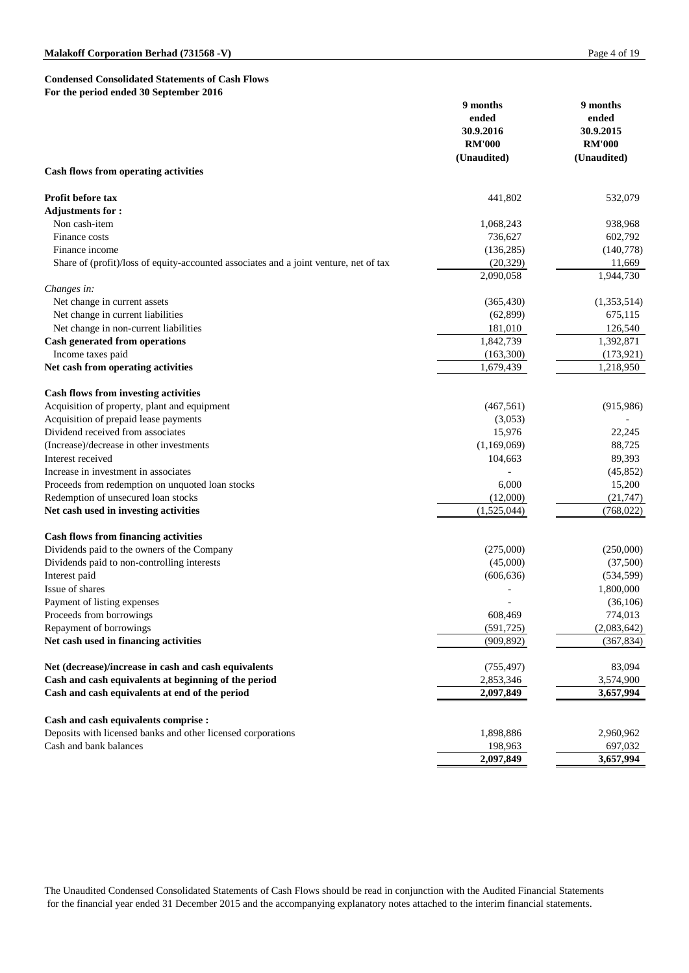#### **Condensed Consolidated Statements of Cash Flows For the period ended 30 September 2016**

| 1 or the period ended so sept                                                         | 9 months<br>ended<br>30.9.2016<br><b>RM'000</b><br>(Unaudited) | 9 months<br>ended<br>30.9.2015<br><b>RM'000</b><br>(Unaudited) |
|---------------------------------------------------------------------------------------|----------------------------------------------------------------|----------------------------------------------------------------|
| <b>Cash flows from operating activities</b>                                           |                                                                |                                                                |
| <b>Profit before tax</b>                                                              | 441,802                                                        | 532,079                                                        |
| <b>Adjustments for:</b>                                                               |                                                                |                                                                |
| Non cash-item                                                                         | 1,068,243                                                      | 938,968                                                        |
| Finance costs                                                                         | 736,627                                                        | 602,792                                                        |
| Finance income                                                                        | (136, 285)                                                     | (140, 778)                                                     |
| Share of (profit)/loss of equity-accounted associates and a joint venture, net of tax | (20, 329)                                                      | 11,669                                                         |
|                                                                                       | 2,090,058                                                      | 1,944,730                                                      |
| Changes in:                                                                           |                                                                |                                                                |
| Net change in current assets                                                          | (365, 430)                                                     | (1,353,514)                                                    |
| Net change in current liabilities                                                     | (62, 899)                                                      | 675,115                                                        |
| Net change in non-current liabilities                                                 | 181,010                                                        | 126,540                                                        |
| Cash generated from operations                                                        | 1,842,739                                                      | 1,392,871                                                      |
| Income taxes paid                                                                     | (163,300)                                                      | (173, 921)                                                     |
| Net cash from operating activities                                                    | 1,679,439                                                      | 1,218,950                                                      |
| <b>Cash flows from investing activities</b>                                           |                                                                |                                                                |
| Acquisition of property, plant and equipment                                          | (467, 561)                                                     | (915, 986)                                                     |
| Acquisition of prepaid lease payments                                                 | (3,053)                                                        |                                                                |
| Dividend received from associates                                                     | 15,976                                                         | 22,245                                                         |
| (Increase)/decrease in other investments                                              | (1,169,069)                                                    | 88,725                                                         |
| Interest received                                                                     | 104,663                                                        | 89,393                                                         |
| Increase in investment in associates                                                  |                                                                | (45, 852)                                                      |
| Proceeds from redemption on unquoted loan stocks                                      | 6,000                                                          | 15,200                                                         |
| Redemption of unsecured loan stocks                                                   | (12,000)                                                       | (21, 747)                                                      |
| Net cash used in investing activities                                                 | (1,525,044)                                                    | (768, 022)                                                     |
| <b>Cash flows from financing activities</b>                                           |                                                                |                                                                |
| Dividends paid to the owners of the Company                                           | (275,000)                                                      | (250,000)                                                      |
| Dividends paid to non-controlling interests                                           | (45,000)                                                       | (37,500)                                                       |
| Interest paid                                                                         | (606, 636)                                                     | (534, 599)                                                     |
| Issue of shares                                                                       |                                                                | 1,800,000                                                      |
| Payment of listing expenses                                                           |                                                                | (36,106)                                                       |
| Proceeds from borrowings                                                              | 608,469                                                        | 774,013                                                        |
| Repayment of borrowings                                                               | (591, 725)                                                     | (2,083,642)                                                    |
| Net cash used in financing activities                                                 | (909, 892)                                                     | (367, 834)                                                     |
| Net (decrease)/increase in cash and cash equivalents                                  | (755, 497)                                                     | 83,094                                                         |
| Cash and cash equivalents at beginning of the period                                  | 2,853,346                                                      | 3,574,900                                                      |
| Cash and cash equivalents at end of the period                                        | 2,097,849                                                      | 3,657,994                                                      |
|                                                                                       |                                                                |                                                                |
| Cash and cash equivalents comprise :                                                  |                                                                |                                                                |
| Deposits with licensed banks and other licensed corporations                          | 1,898,886                                                      | 2,960,962                                                      |
| Cash and bank balances                                                                | 198,963                                                        | 697,032                                                        |
|                                                                                       | 2,097,849                                                      | 3,657,994                                                      |

The Unaudited Condensed Consolidated Statements of Cash Flows should be read in conjunction with the Audited Financial Statements for the financial year ended 31 December 2015 and the accompanying explanatory notes attached to the interim financial statements.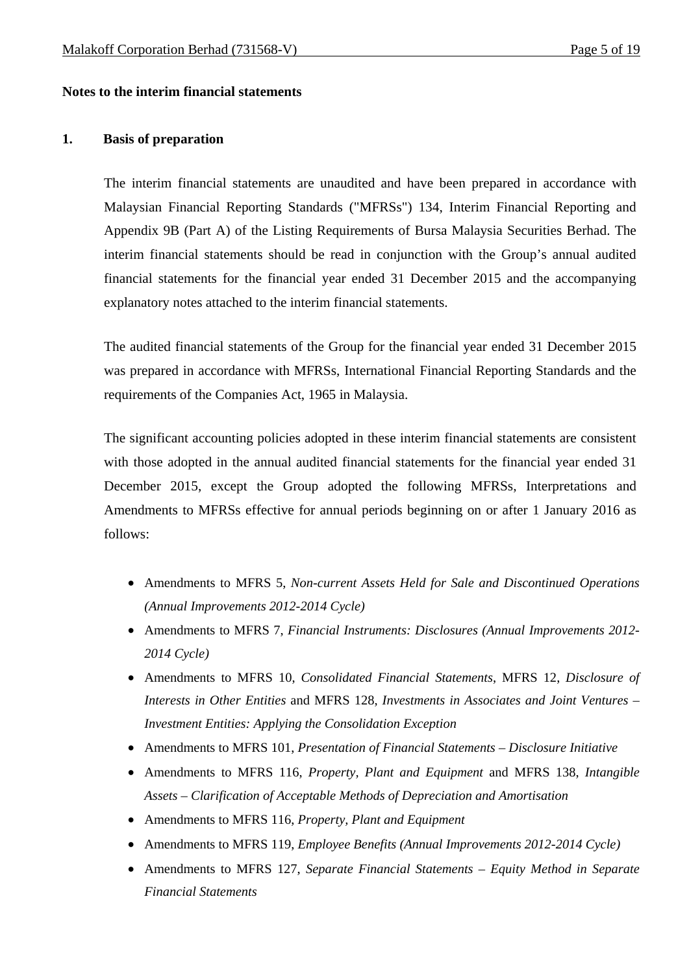#### **Notes to the interim financial statements**

#### **1. Basis of preparation**

The interim financial statements are unaudited and have been prepared in accordance with Malaysian Financial Reporting Standards ("MFRSs") 134, Interim Financial Reporting and Appendix 9B (Part A) of the Listing Requirements of Bursa Malaysia Securities Berhad. The interim financial statements should be read in conjunction with the Group's annual audited financial statements for the financial year ended 31 December 2015 and the accompanying explanatory notes attached to the interim financial statements.

The audited financial statements of the Group for the financial year ended 31 December 2015 was prepared in accordance with MFRSs, International Financial Reporting Standards and the requirements of the Companies Act, 1965 in Malaysia.

The significant accounting policies adopted in these interim financial statements are consistent with those adopted in the annual audited financial statements for the financial year ended 31 December 2015, except the Group adopted the following MFRSs, Interpretations and Amendments to MFRSs effective for annual periods beginning on or after 1 January 2016 as follows:

- Amendments to MFRS 5, *Non-current Assets Held for Sale and Discontinued Operations (Annual Improvements 2012-2014 Cycle)*
- Amendments to MFRS 7, *Financial Instruments: Disclosures (Annual Improvements 2012- 2014 Cycle)*
- Amendments to MFRS 10, *Consolidated Financial Statements*, MFRS 12, *Disclosure of Interests in Other Entities* and MFRS 128, *Investments in Associates and Joint Ventures – Investment Entities: Applying the Consolidation Exception*
- Amendments to MFRS 101, *Presentation of Financial Statements Disclosure Initiative*
- Amendments to MFRS 116, *Property, Plant and Equipment* and MFRS 138, *Intangible Assets – Clarification of Acceptable Methods of Depreciation and Amortisation*
- Amendments to MFRS 116, *Property, Plant and Equipment*
- Amendments to MFRS 119, *Employee Benefits (Annual Improvements 2012-2014 Cycle)*
- Amendments to MFRS 127, *Separate Financial Statements Equity Method in Separate Financial Statements*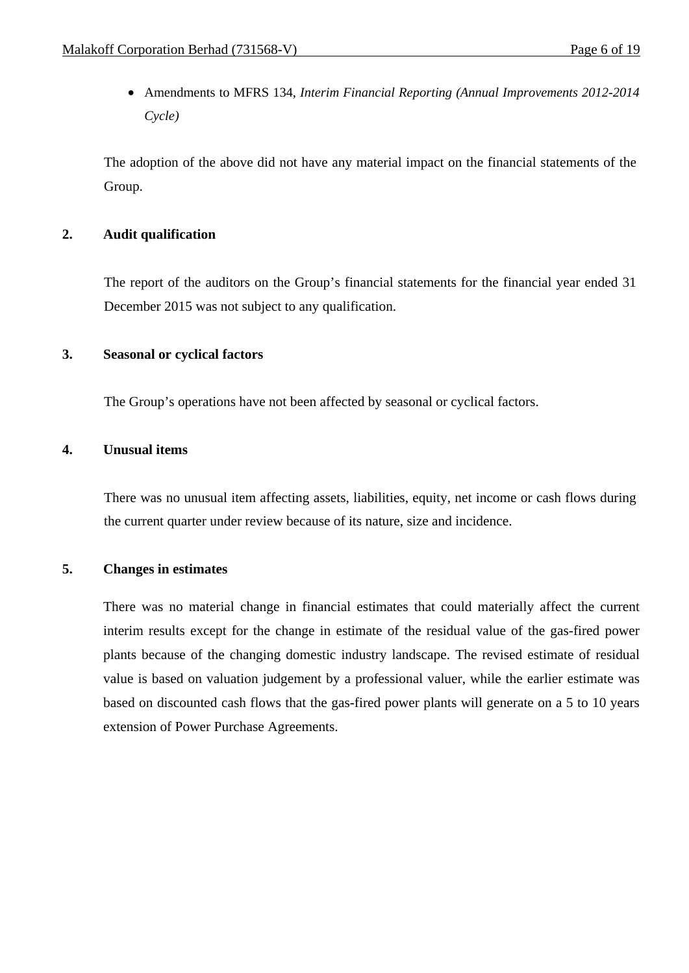Amendments to MFRS 134, *Interim Financial Reporting (Annual Improvements 2012-2014 Cycle)*

The adoption of the above did not have any material impact on the financial statements of the Group.

### **2. Audit qualification**

The report of the auditors on the Group's financial statements for the financial year ended 31 December 2015 was not subject to any qualification.

### **3. Seasonal or cyclical factors**

The Group's operations have not been affected by seasonal or cyclical factors.

# **4. Unusual items**

There was no unusual item affecting assets, liabilities, equity, net income or cash flows during the current quarter under review because of its nature, size and incidence.

# **5. Changes in estimates**

There was no material change in financial estimates that could materially affect the current interim results except for the change in estimate of the residual value of the gas-fired power plants because of the changing domestic industry landscape. The revised estimate of residual value is based on valuation judgement by a professional valuer, while the earlier estimate was based on discounted cash flows that the gas-fired power plants will generate on a 5 to 10 years extension of Power Purchase Agreements.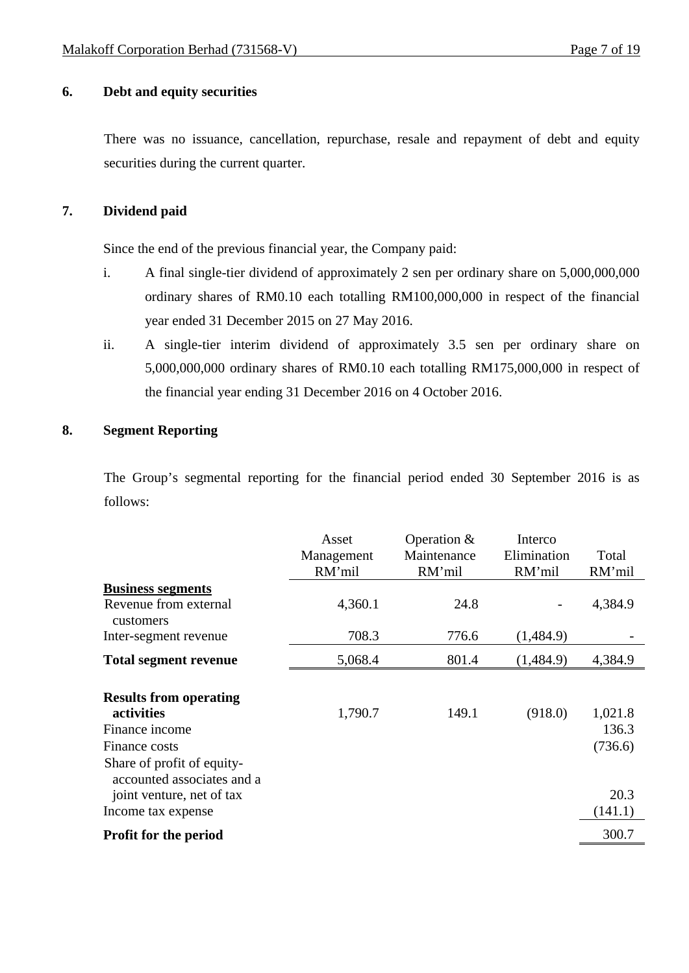# **6. Debt and equity securities**

There was no issuance, cancellation, repurchase, resale and repayment of debt and equity securities during the current quarter.

# **7. Dividend paid**

Since the end of the previous financial year, the Company paid:

- i. A final single-tier dividend of approximately 2 sen per ordinary share on 5,000,000,000 ordinary shares of RM0.10 each totalling RM100,000,000 in respect of the financial year ended 31 December 2015 on 27 May 2016.
- ii. A single-tier interim dividend of approximately 3.5 sen per ordinary share on 5,000,000,000 ordinary shares of RM0.10 each totalling RM175,000,000 in respect of the financial year ending 31 December 2016 on 4 October 2016.

# **8. Segment Reporting**

 The Group's segmental reporting for the financial period ended 30 September 2016 is as follows:

|                                                                                                             | Asset<br>Management<br>RM'mil | Operation $&$<br>Maintenance<br>RM'mil | Interco<br>Elimination<br>RM'mil | Total<br>RM'mil             |
|-------------------------------------------------------------------------------------------------------------|-------------------------------|----------------------------------------|----------------------------------|-----------------------------|
| <b>Business segments</b>                                                                                    |                               |                                        |                                  |                             |
| Revenue from external<br>customers                                                                          | 4,360.1                       | 24.8                                   |                                  | 4,384.9                     |
| Inter-segment revenue                                                                                       | 708.3                         | 776.6                                  | (1,484.9)                        |                             |
| <b>Total segment revenue</b>                                                                                | 5,068.4                       | 801.4                                  | (1,484.9)                        | 4,384.9                     |
| <b>Results from operating</b><br>activities<br>Finance income<br>Finance costs                              | 1,790.7                       | 149.1                                  | (918.0)                          | 1,021.8<br>136.3<br>(736.6) |
| Share of profit of equity-<br>accounted associates and a<br>joint venture, net of tax<br>Income tax expense |                               |                                        |                                  | 20.3<br>(141.1)             |
| <b>Profit for the period</b>                                                                                |                               |                                        |                                  | 300.7                       |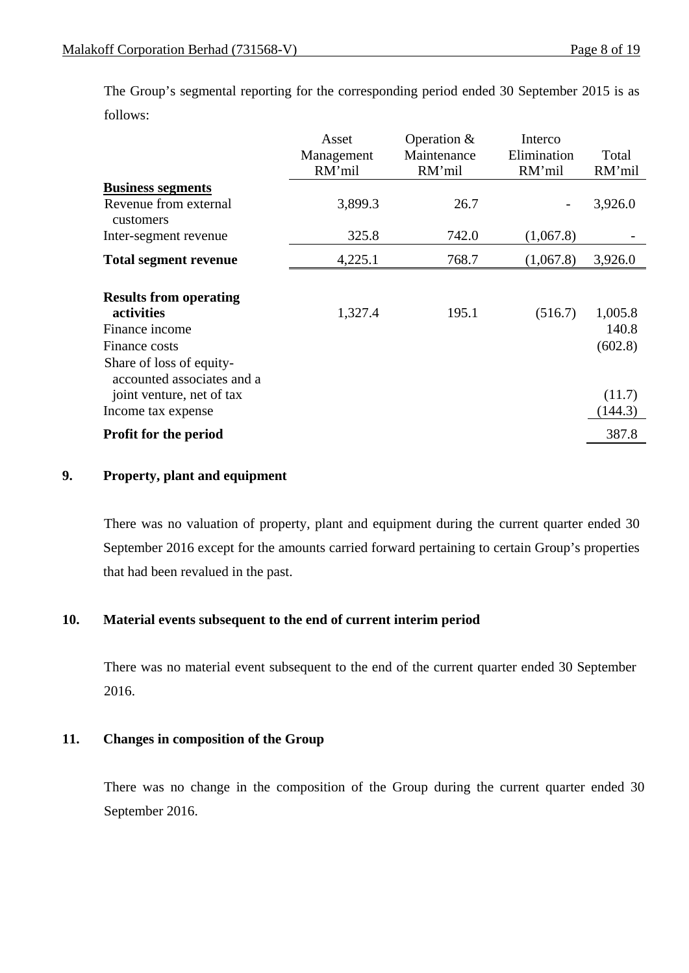The Group's segmental reporting for the corresponding period ended 30 September 2015 is as follows:

|                                                                                                            | Asset      | Operation $&$ | Interco     |                             |
|------------------------------------------------------------------------------------------------------------|------------|---------------|-------------|-----------------------------|
|                                                                                                            | Management | Maintenance   | Elimination | Total                       |
|                                                                                                            | RM'mil     | RM'mil        | RM'mil      | RM'mil                      |
| <b>Business segments</b>                                                                                   |            |               |             |                             |
| Revenue from external<br>customers                                                                         | 3,899.3    | 26.7          | -           | 3,926.0                     |
| Inter-segment revenue                                                                                      | 325.8      | 742.0         | (1,067.8)   |                             |
| <b>Total segment revenue</b>                                                                               | 4,225.1    | 768.7         | (1,067.8)   | 3,926.0                     |
| <b>Results from operating</b><br>activities<br>Finance income<br>Finance costs<br>Share of loss of equity- | 1,327.4    | 195.1         | (516.7)     | 1,005.8<br>140.8<br>(602.8) |
| accounted associates and a<br>joint venture, net of tax<br>Income tax expense                              |            |               |             | (11.7)<br>(144.3)           |
| <b>Profit for the period</b>                                                                               |            |               |             | 387.8                       |

# **9. Property, plant and equipment**

 There was no valuation of property, plant and equipment during the current quarter ended 30 September 2016 except for the amounts carried forward pertaining to certain Group's properties that had been revalued in the past.

# **10. Material events subsequent to the end of current interim period**

There was no material event subsequent to the end of the current quarter ended 30 September 2016.

# **11. Changes in composition of the Group**

There was no change in the composition of the Group during the current quarter ended 30 September 2016.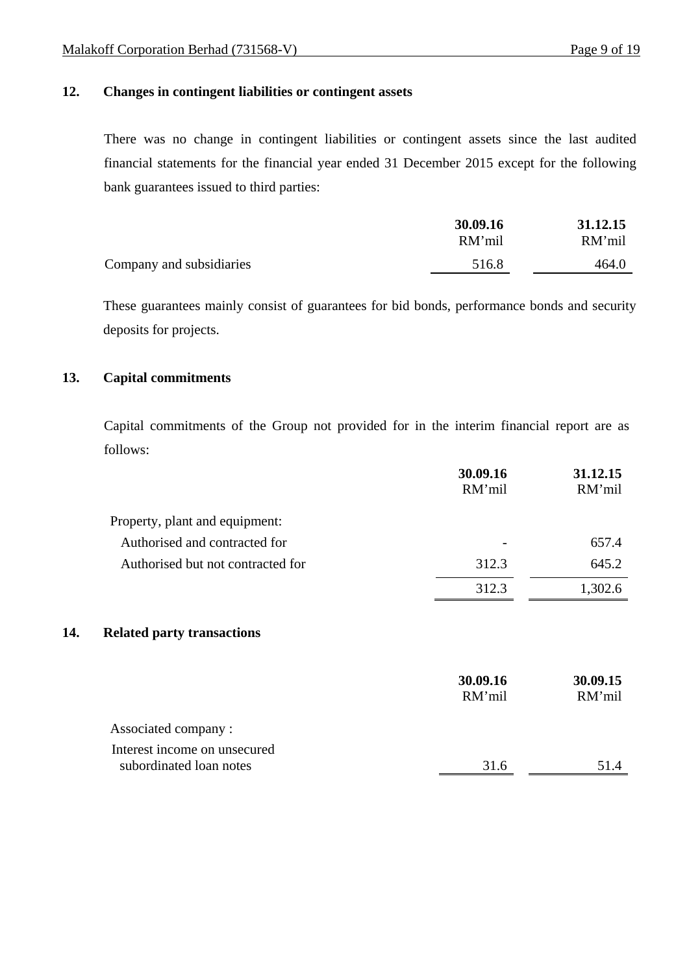# **12. Changes in contingent liabilities or contingent assets**

There was no change in contingent liabilities or contingent assets since the last audited financial statements for the financial year ended 31 December 2015 except for the following bank guarantees issued to third parties:

|                          | 30.09.16<br>RM'mil | 31.12.15<br>RM'mil |
|--------------------------|--------------------|--------------------|
| Company and subsidiaries | 516.8              | 464.0              |

These guarantees mainly consist of guarantees for bid bonds, performance bonds and security deposits for projects.

# **13. Capital commitments**

 Capital commitments of the Group not provided for in the interim financial report are as follows:

|                                   | 30.09.16<br>RM'mil | 31.12.15<br>RM'mil |
|-----------------------------------|--------------------|--------------------|
| Property, plant and equipment:    |                    |                    |
| Authorised and contracted for     |                    | 657.4              |
| Authorised but not contracted for | 312.3              | 645.2              |
|                                   | 312.3              | 1,302.6            |

## **14. Related party transactions**

|                                                         | 30.09.16<br>RM'mil | 30.09.15<br>RM'mil |
|---------------------------------------------------------|--------------------|--------------------|
| Associated company:                                     |                    |                    |
| Interest income on unsecured<br>subordinated loan notes | 31.6               | 51.4               |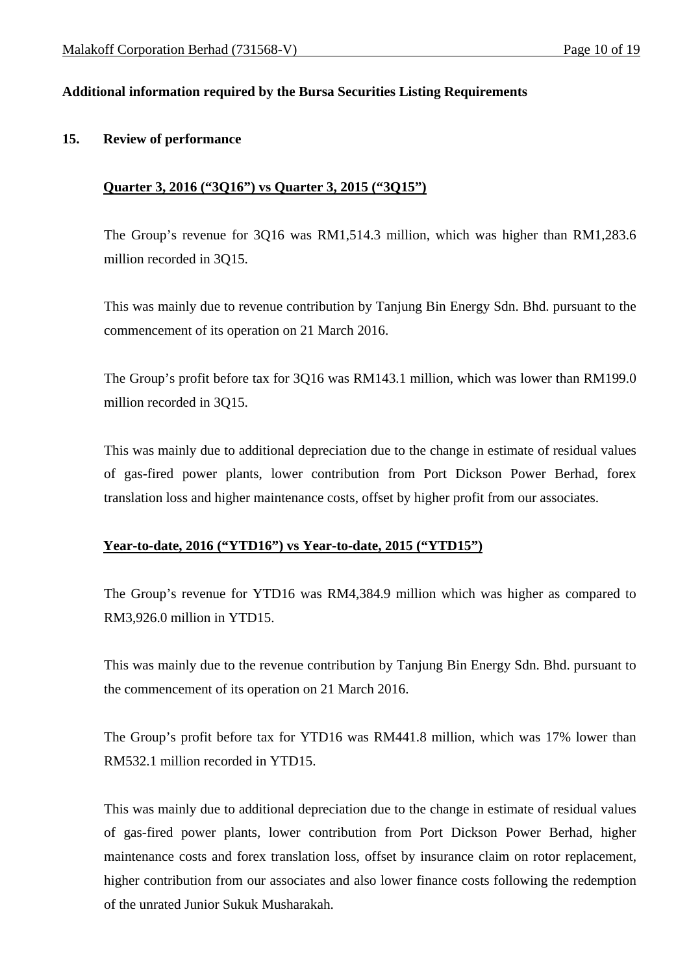# **Additional information required by the Bursa Securities Listing Requirements**

#### **15. Review of performance**

# **Quarter 3, 2016 ("3Q16") vs Quarter 3, 2015 ("3Q15")**

The Group's revenue for 3Q16 was RM1,514.3 million, which was higher than RM1,283.6 million recorded in 3Q15.

This was mainly due to revenue contribution by Tanjung Bin Energy Sdn. Bhd. pursuant to the commencement of its operation on 21 March 2016.

The Group's profit before tax for 3Q16 was RM143.1 million, which was lower than RM199.0 million recorded in 3Q15.

This was mainly due to additional depreciation due to the change in estimate of residual values of gas-fired power plants, lower contribution from Port Dickson Power Berhad, forex translation loss and higher maintenance costs, offset by higher profit from our associates.

#### **Year-to-date, 2016 ("YTD16") vs Year-to-date, 2015 ("YTD15")**

The Group's revenue for YTD16 was RM4,384.9 million which was higher as compared to RM3,926.0 million in YTD15.

This was mainly due to the revenue contribution by Tanjung Bin Energy Sdn. Bhd. pursuant to the commencement of its operation on 21 March 2016.

The Group's profit before tax for YTD16 was RM441.8 million, which was 17% lower than RM532.1 million recorded in YTD15.

This was mainly due to additional depreciation due to the change in estimate of residual values of gas-fired power plants, lower contribution from Port Dickson Power Berhad, higher maintenance costs and forex translation loss, offset by insurance claim on rotor replacement, higher contribution from our associates and also lower finance costs following the redemption of the unrated Junior Sukuk Musharakah.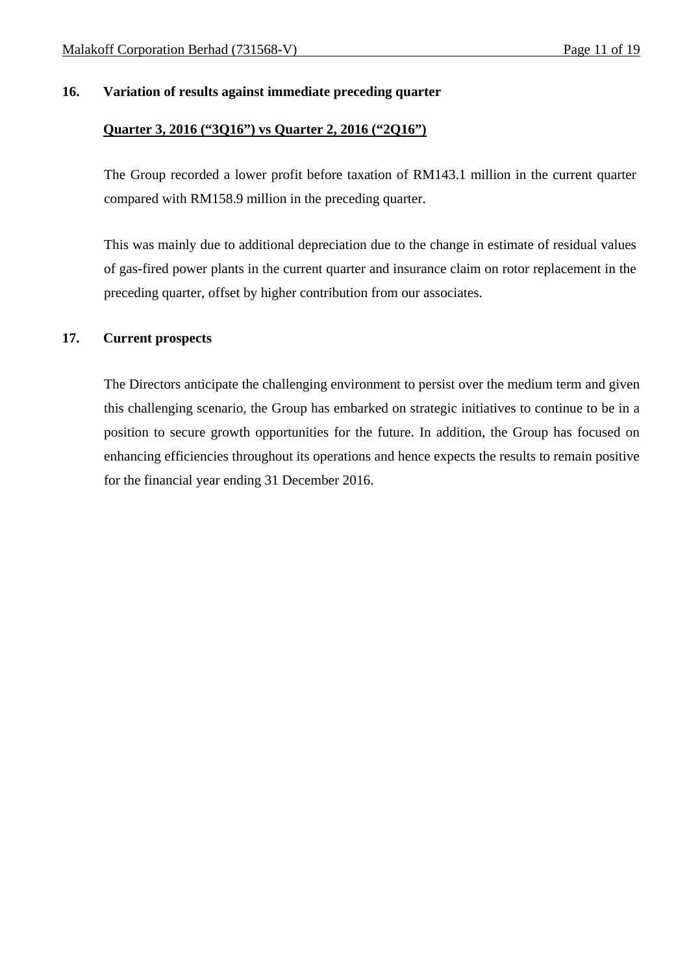# **16. Variation of results against immediate preceding quarter**

#### **Quarter 3, 2016 ("3Q16") vs Quarter 2, 2016 ("2Q16")**

The Group recorded a lower profit before taxation of RM143.1 million in the current quarter compared with RM158.9 million in the preceding quarter.

This was mainly due to additional depreciation due to the change in estimate of residual values of gas-fired power plants in the current quarter and insurance claim on rotor replacement in the preceding quarter, offset by higher contribution from our associates.

#### **17. Current prospects**

The Directors anticipate the challenging environment to persist over the medium term and given this challenging scenario, the Group has embarked on strategic initiatives to continue to be in a position to secure growth opportunities for the future. In addition, the Group has focused on enhancing efficiencies throughout its operations and hence expects the results to remain positive for the financial year ending 31 December 2016.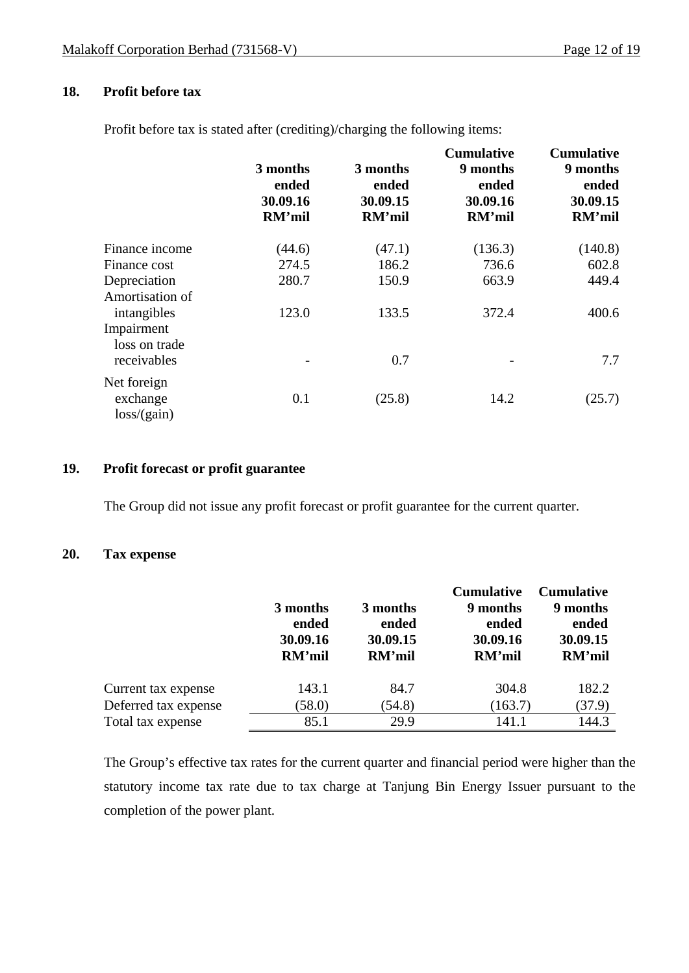# **18. Profit before tax**

|                                        | 3 months<br>ended<br>30.09.16<br>RM'mil | 3 months<br>ended<br>30.09.15<br>RM'mil | <b>Cumulative</b><br>9 months<br>ended<br>30.09.16<br>RM'mil | <b>Cumulative</b><br>9 months<br>ended<br>30.09.15<br>RM'mil |
|----------------------------------------|-----------------------------------------|-----------------------------------------|--------------------------------------------------------------|--------------------------------------------------------------|
| Finance income                         | (44.6)                                  | (47.1)                                  | (136.3)                                                      | (140.8)                                                      |
| Finance cost                           | 274.5                                   | 186.2                                   | 736.6                                                        | 602.8                                                        |
| Depreciation<br>Amortisation of        | 280.7                                   | 150.9                                   | 663.9                                                        | 449.4                                                        |
| intangibles                            | 123.0                                   | 133.5                                   | 372.4                                                        | 400.6                                                        |
| Impairment                             |                                         |                                         |                                                              |                                                              |
| loss on trade<br>receivables           |                                         | 0.7                                     |                                                              | 7.7                                                          |
| Net foreign<br>exchange<br>loss/(gain) | 0.1                                     | (25.8)                                  | 14.2                                                         | (25.7)                                                       |

Profit before tax is stated after (crediting)/charging the following items:

# **19. Profit forecast or profit guarantee**

The Group did not issue any profit forecast or profit guarantee for the current quarter.

### **20. Tax expense**

|                      |          |          | <b>Cumulative</b> | <b>Cumulative</b> |
|----------------------|----------|----------|-------------------|-------------------|
|                      | 3 months | 3 months | 9 months          | 9 months          |
|                      | ended    | ended    | ended             | ended             |
|                      | 30.09.16 | 30.09.15 | 30.09.16          | 30.09.15          |
|                      | RM'mil   | RM'mil   | RM'mil            | RM'mil            |
| Current tax expense  | 143.1    | 84.7     | 304.8             | 182.2             |
| Deferred tax expense | (58.0)   | (54.8)   | (163.7)           | (37.9)            |
| Total tax expense    | 85.1     | 29.9     | 141.1             | 144.3             |

The Group's effective tax rates for the current quarter and financial period were higher than the statutory income tax rate due to tax charge at Tanjung Bin Energy Issuer pursuant to the completion of the power plant.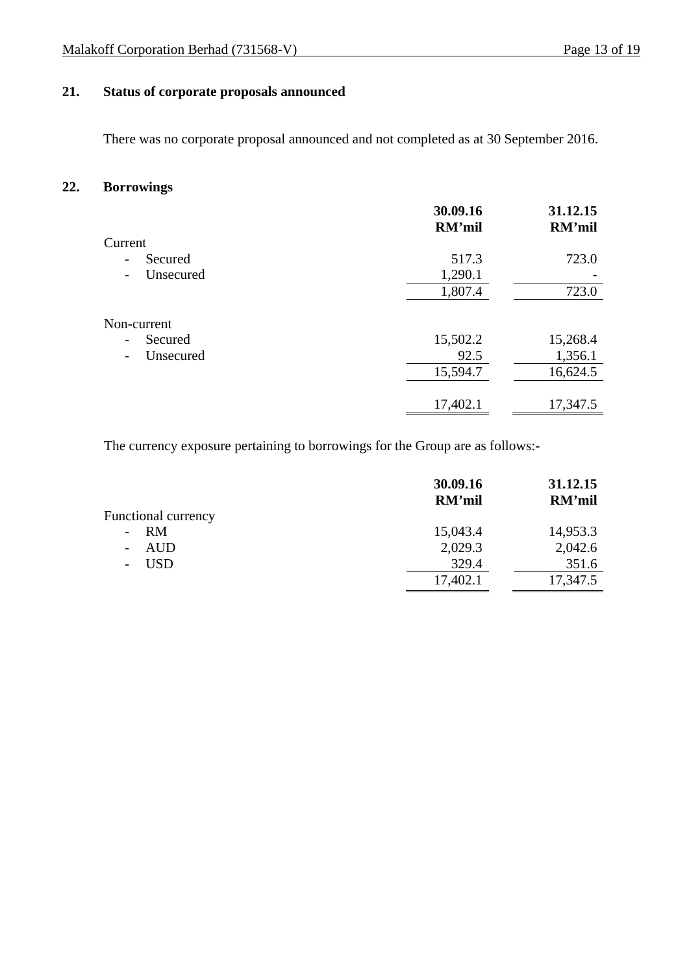# **21. Status of corporate proposals announced**

There was no corporate proposal announced and not completed as at 30 September 2016.

# **22. Borrowings**

|                                       | 30.09.16<br>RM'mil | 31.12.15<br>RM'mil |
|---------------------------------------|--------------------|--------------------|
| Current                               |                    |                    |
| Secured<br>$\overline{\phantom{0}}$   | 517.3              | 723.0              |
| Unsecured<br>$\overline{\phantom{0}}$ | 1,290.1            |                    |
|                                       | 1,807.4            | 723.0              |
| Non-current                           |                    |                    |
| Secured<br>$\overline{a}$             | 15,502.2           | 15,268.4           |
| Unsecured<br>$\overline{\phantom{0}}$ | 92.5               | 1,356.1            |
|                                       | 15,594.7           | 16,624.5           |
|                                       | 17,402.1           | 17,347.5           |

The currency exposure pertaining to borrowings for the Group are as follows:-

|                            | 30.09.16<br>RM'mil | 31.12.15<br>RM'mil |
|----------------------------|--------------------|--------------------|
| <b>Functional currency</b> |                    |                    |
| $- RM$                     | 15,043.4           | 14,953.3           |
| AUD<br>$\sim$              | 2,029.3            | 2,042.6            |
| <b>USD</b>                 | 329.4              | 351.6              |
|                            | 17,402.1           | 17,347.5           |
|                            |                    |                    |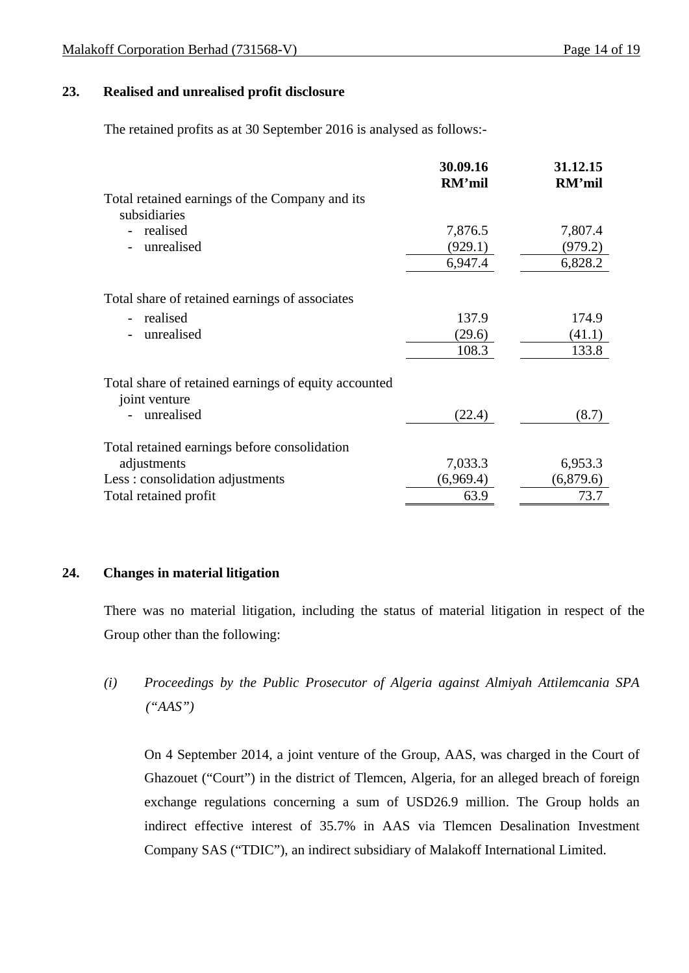# **23. Realised and unrealised profit disclosure**

The retained profits as at 30 September 2016 is analysed as follows:-

|                                                                       | 30.09.16      | 31.12.15  |
|-----------------------------------------------------------------------|---------------|-----------|
|                                                                       | <b>RM'mil</b> | RM'mil    |
| Total retained earnings of the Company and its<br>subsidiaries        |               |           |
| realised                                                              | 7,876.5       | 7,807.4   |
| unrealised                                                            | (929.1)       | (979.2)   |
|                                                                       | 6,947.4       | 6,828.2   |
| Total share of retained earnings of associates                        |               |           |
| realised                                                              | 137.9         | 174.9     |
| unrealised                                                            | (29.6)        | (41.1)    |
|                                                                       | 108.3         | 133.8     |
| Total share of retained earnings of equity accounted<br>joint venture |               |           |
| unrealised                                                            | (22.4)        | (8.7)     |
| Total retained earnings before consolidation                          |               |           |
| adjustments                                                           | 7,033.3       | 6,953.3   |
| Less: consolidation adjustments                                       | (6,969.4)     | (6,879.6) |
| Total retained profit                                                 | 63.9          | 73.7      |

# **24. Changes in material litigation**

There was no material litigation, including the status of material litigation in respect of the Group other than the following:

# *(i) Proceedings by the Public Prosecutor of Algeria against Almiyah Attilemcania SPA ("AAS")*

On 4 September 2014, a joint venture of the Group, AAS, was charged in the Court of Ghazouet ("Court") in the district of Tlemcen, Algeria, for an alleged breach of foreign exchange regulations concerning a sum of USD26.9 million. The Group holds an indirect effective interest of 35.7% in AAS via Tlemcen Desalination Investment Company SAS ("TDIC"), an indirect subsidiary of Malakoff International Limited.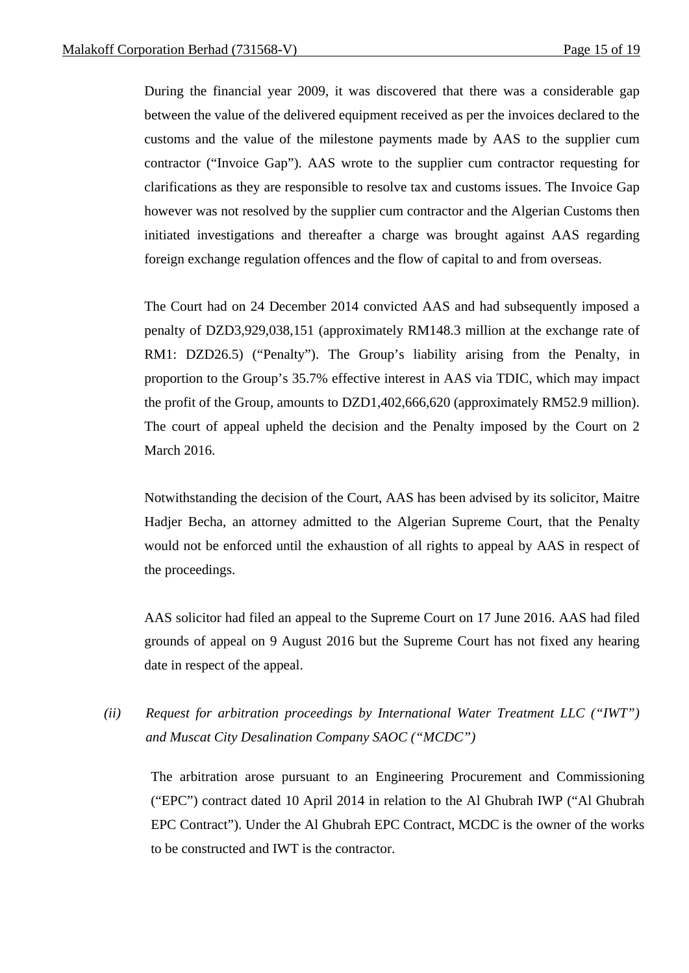During the financial year 2009, it was discovered that there was a considerable gap between the value of the delivered equipment received as per the invoices declared to the customs and the value of the milestone payments made by AAS to the supplier cum contractor ("Invoice Gap"). AAS wrote to the supplier cum contractor requesting for clarifications as they are responsible to resolve tax and customs issues. The Invoice Gap however was not resolved by the supplier cum contractor and the Algerian Customs then initiated investigations and thereafter a charge was brought against AAS regarding foreign exchange regulation offences and the flow of capital to and from overseas.

The Court had on 24 December 2014 convicted AAS and had subsequently imposed a penalty of DZD3,929,038,151 (approximately RM148.3 million at the exchange rate of RM1: DZD26.5) ("Penalty"). The Group's liability arising from the Penalty, in proportion to the Group's 35.7% effective interest in AAS via TDIC, which may impact the profit of the Group, amounts to DZD1,402,666,620 (approximately RM52.9 million). The court of appeal upheld the decision and the Penalty imposed by the Court on 2 March 2016.

Notwithstanding the decision of the Court, AAS has been advised by its solicitor, Maitre Hadjer Becha, an attorney admitted to the Algerian Supreme Court, that the Penalty would not be enforced until the exhaustion of all rights to appeal by AAS in respect of the proceedings.

AAS solicitor had filed an appeal to the Supreme Court on 17 June 2016. AAS had filed grounds of appeal on 9 August 2016 but the Supreme Court has not fixed any hearing date in respect of the appeal.

*(ii) Request for arbitration proceedings by International Water Treatment LLC ("IWT") and Muscat City Desalination Company SAOC ("MCDC")* 

The arbitration arose pursuant to an Engineering Procurement and Commissioning ("EPC") contract dated 10 April 2014 in relation to the Al Ghubrah IWP ("Al Ghubrah EPC Contract"). Under the Al Ghubrah EPC Contract, MCDC is the owner of the works to be constructed and IWT is the contractor.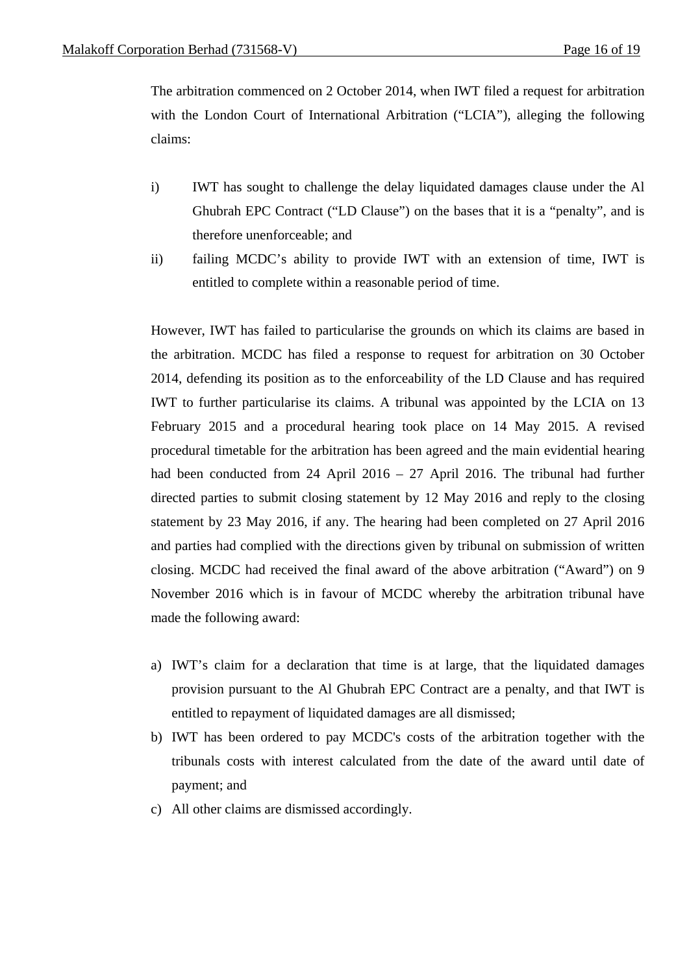The arbitration commenced on 2 October 2014, when IWT filed a request for arbitration with the London Court of International Arbitration ("LCIA"), alleging the following claims:

- i) IWT has sought to challenge the delay liquidated damages clause under the Al Ghubrah EPC Contract ("LD Clause") on the bases that it is a "penalty", and is therefore unenforceable; and
- ii) failing MCDC's ability to provide IWT with an extension of time, IWT is entitled to complete within a reasonable period of time.

However, IWT has failed to particularise the grounds on which its claims are based in the arbitration. MCDC has filed a response to request for arbitration on 30 October 2014, defending its position as to the enforceability of the LD Clause and has required IWT to further particularise its claims. A tribunal was appointed by the LCIA on 13 February 2015 and a procedural hearing took place on 14 May 2015. A revised procedural timetable for the arbitration has been agreed and the main evidential hearing had been conducted from 24 April 2016 – 27 April 2016. The tribunal had further directed parties to submit closing statement by 12 May 2016 and reply to the closing statement by 23 May 2016, if any. The hearing had been completed on 27 April 2016 and parties had complied with the directions given by tribunal on submission of written closing. MCDC had received the final award of the above arbitration ("Award") on 9 November 2016 which is in favour of MCDC whereby the arbitration tribunal have made the following award:

- a) IWT's claim for a declaration that time is at large, that the liquidated damages provision pursuant to the Al Ghubrah EPC Contract are a penalty, and that IWT is entitled to repayment of liquidated damages are all dismissed;
- b) IWT has been ordered to pay MCDC's costs of the arbitration together with the tribunals costs with interest calculated from the date of the award until date of payment; and
- c) All other claims are dismissed accordingly.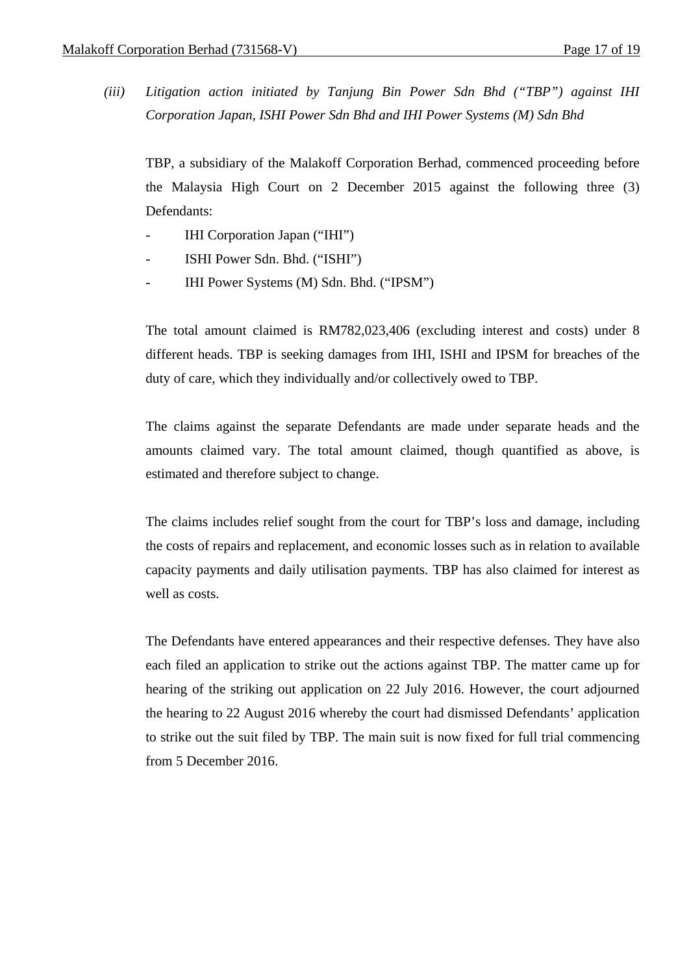*(iii) Litigation action initiated by Tanjung Bin Power Sdn Bhd ("TBP") against IHI Corporation Japan, ISHI Power Sdn Bhd and IHI Power Systems (M) Sdn Bhd* 

TBP, a subsidiary of the Malakoff Corporation Berhad, commenced proceeding before the Malaysia High Court on 2 December 2015 against the following three (3) Defendants:

- IHI Corporation Japan ("IHI")
- ISHI Power Sdn. Bhd. ("ISHI")
- IHI Power Systems (M) Sdn. Bhd. ("IPSM")

The total amount claimed is RM782,023,406 (excluding interest and costs) under 8 different heads. TBP is seeking damages from IHI, ISHI and IPSM for breaches of the duty of care, which they individually and/or collectively owed to TBP.

The claims against the separate Defendants are made under separate heads and the amounts claimed vary. The total amount claimed, though quantified as above, is estimated and therefore subject to change.

The claims includes relief sought from the court for TBP's loss and damage, including the costs of repairs and replacement, and economic losses such as in relation to available capacity payments and daily utilisation payments. TBP has also claimed for interest as well as costs.

The Defendants have entered appearances and their respective defenses. They have also each filed an application to strike out the actions against TBP. The matter came up for hearing of the striking out application on 22 July 2016. However, the court adjourned the hearing to 22 August 2016 whereby the court had dismissed Defendants' application to strike out the suit filed by TBP. The main suit is now fixed for full trial commencing from 5 December 2016.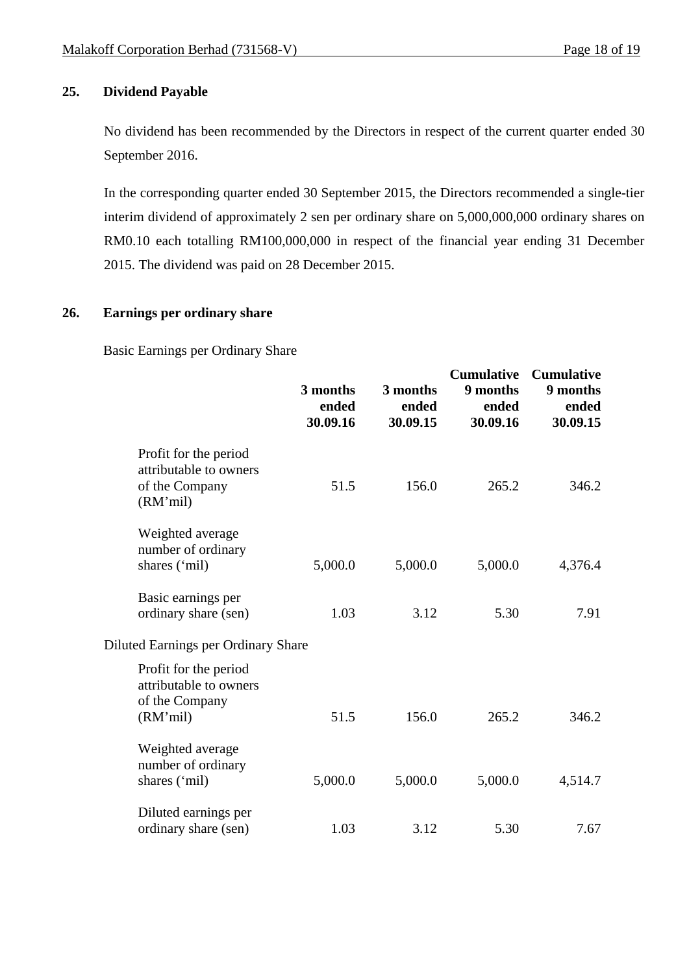# **25. Dividend Payable**

No dividend has been recommended by the Directors in respect of the current quarter ended 30 September 2016.

In the corresponding quarter ended 30 September 2015, the Directors recommended a single-tier interim dividend of approximately 2 sen per ordinary share on 5,000,000,000 ordinary shares on RM0.10 each totalling RM100,000,000 in respect of the financial year ending 31 December 2015. The dividend was paid on 28 December 2015.

# **26. Earnings per ordinary share**

Basic Earnings per Ordinary Share

|                                                                               | 3 months<br>ended<br>30.09.16 | 3 months<br>ended<br>30.09.15 | <b>Cumulative</b><br>9 months<br>ended<br>30.09.16 | <b>Cumulative</b><br>9 months<br>ended<br>30.09.15 |
|-------------------------------------------------------------------------------|-------------------------------|-------------------------------|----------------------------------------------------|----------------------------------------------------|
| Profit for the period<br>attributable to owners<br>of the Company<br>(RM'mil) | 51.5                          | 156.0                         | 265.2                                              | 346.2                                              |
| Weighted average<br>number of ordinary<br>shares ('mil)                       | 5,000.0                       | 5,000.0                       | 5,000.0                                            | 4,376.4                                            |
| Basic earnings per<br>ordinary share (sen)                                    | 1.03                          | 3.12                          | 5.30                                               | 7.91                                               |
| Diluted Earnings per Ordinary Share                                           |                               |                               |                                                    |                                                    |
| Profit for the period<br>attributable to owners<br>of the Company<br>(RM'mil) | 51.5                          | 156.0                         | 265.2                                              | 346.2                                              |
| Weighted average<br>number of ordinary<br>shares ('mil)                       | 5,000.0                       | 5,000.0                       | 5,000.0                                            | 4,514.7                                            |
| Diluted earnings per<br>ordinary share (sen)                                  | 1.03                          | 3.12                          | 5.30                                               | 7.67                                               |